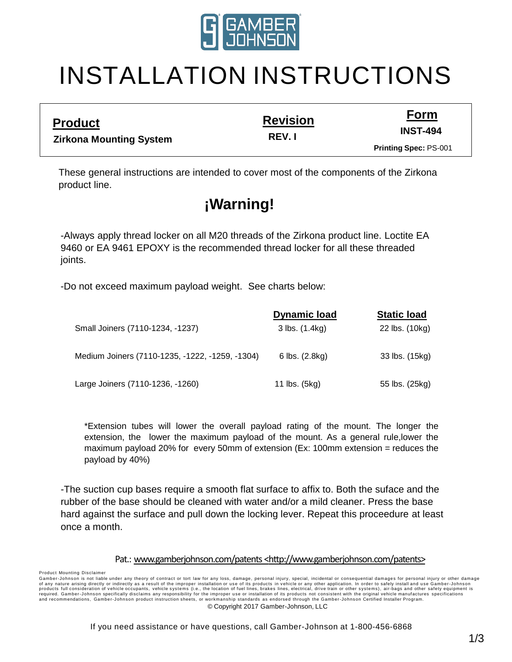

# INSTALLATION INSTRUCTIONS

**Revision**

**Form INST-494**

**Zirkona Mounting System**

**Product**

**REV. I**

**Printing Spec:** PS-001

These general instructions are intended to cover most of the components of the Zirkona product line.

## **¡Warning!**

-Always apply thread locker on all M20 threads of the Zirkona product line. Loctite EA 9460 or EA 9461 EPOXY is the recommended thread locker for all these threaded joints.

-Do not exceed maximum payload weight. See charts below:

|                                                 | <b>Dynamic load</b> | <b>Static load</b> |
|-------------------------------------------------|---------------------|--------------------|
| Small Joiners (7110-1234, -1237)                | 3 lbs. (1.4kg)      | 22 lbs. (10kg)     |
|                                                 |                     |                    |
| Medium Joiners (7110-1235, -1222, -1259, -1304) | 6 lbs. (2.8kg)      | 33 lbs. (15kg)     |
|                                                 |                     |                    |
| Large Joiners (7110-1236, -1260)                | 11 lbs. (5kg)       | 55 lbs. (25kg)     |

\*Extension tubes will lower the overall payload rating of the mount. The longer the extension, the lower the maximum payload of the mount. As a general rule,lower the maximum payload 20% for every 50mm of extension (Ex: 100mm extension = reduces the payload by 40%)

-The suction cup bases require a smooth flat surface to affix to. Both the suface and the rubber of the base should be cleaned with water and/or a mild cleaner. Press the base hard against the surface and pull down the locking lever. Repeat this proceedure at least once a month.

#### Pat.: [www.gamberjohnson.com/patents](http://www.gamberjohnson.com/patents) [<http://www.gamberjohnson.com/patents>](http://www.gamberjohnson.com/patents)

Product Mounting Disclaimer

Gamber-Johnson is not liable under any theory of contract or tort law for any loss, damage, personal injury, special, incidental or consequential damages for personal injury or other damage<br>products full consideration of v and recommendations, Gamber-Johnson product instruction sheets, or workmanship standards as endorsed through the Gamber-Johnson Certified Installer Program. © Copyright 2017 Gamber-Johnson, LLC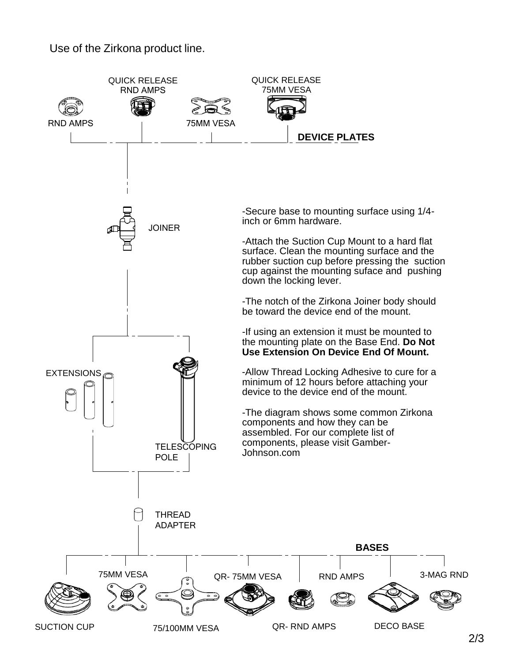